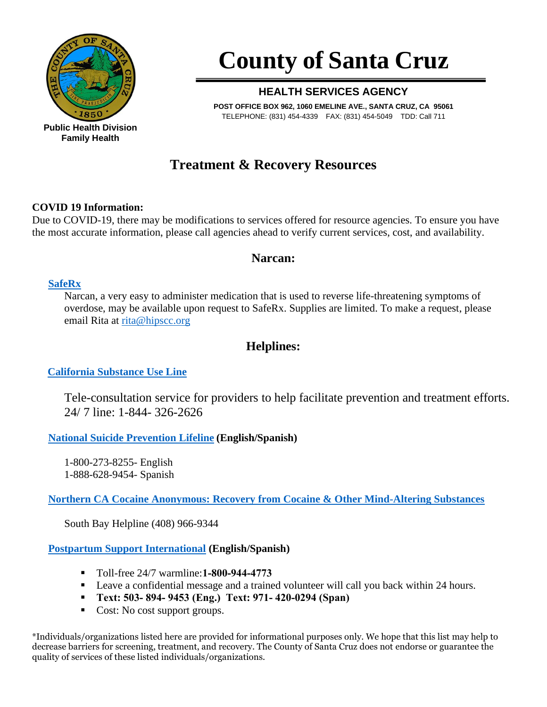

## **County of Santa Cruz**

## **HEALTH SERVICES AGENCY**

**POST OFFICE BOX 962, 1060 EMELINE AVE., SANTA CRUZ, CA 95061** TELEPHONE: (831) 454-4339 FAX: (831) 454-5049 TDD: Call 711

## **Treatment & Recovery Resources**

#### **COVID 19 Information:**

Due to COVID-19, there may be modifications to services offered for resource agencies. To ensure you have the most accurate information, please call agencies ahead to verify current services, cost, and availability.

#### **Narcan:**

#### **[SafeRx](https://www.hipscc.org/saferx)**

Narcan, a very easy to administer medication that is used to reverse life-threatening symptoms of overdose, may be available upon request to SafeRx. Supplies are limited. To make a request, please email Rita at [rita@hipscc.org](mailto:rita@hipscc.org)

### **Helplines:**

#### **[California Substance Use Line](https://nccc.ucsf.edu/clinician-consultation/substance-use-management/california-substance-use-line/)**

Tele-consultation service for providers to help facilitate prevention and treatment efforts. 24/ 7 line: 1-844- 326-2626

**[National Suicide Prevention Lifeline](https://suicidepreventionlifeline.org/) (English/Spanish)**

1-800-273-8255- English 1-888-628-9454- Spanish

**[Northern CA Cocaine Anonymous: Recovery from Cocaine & Other Mind-Altering Substances](https://canorcal.org/)**

South Bay Helpline (408) 966-9344

#### **[Postpartum Support International](https://www.postpartum.net/professionals/psi-conference/) (English/Spanish)**

- Toll-free 24/7 warmline:**1-800-944-4773**
- Leave a confidential message and a trained volunteer will call you back within 24 hours.
- **Text: 503- 894- 9453 (Eng.) Text: 971- 420-0294 (Span)**
- Cost: No cost support groups.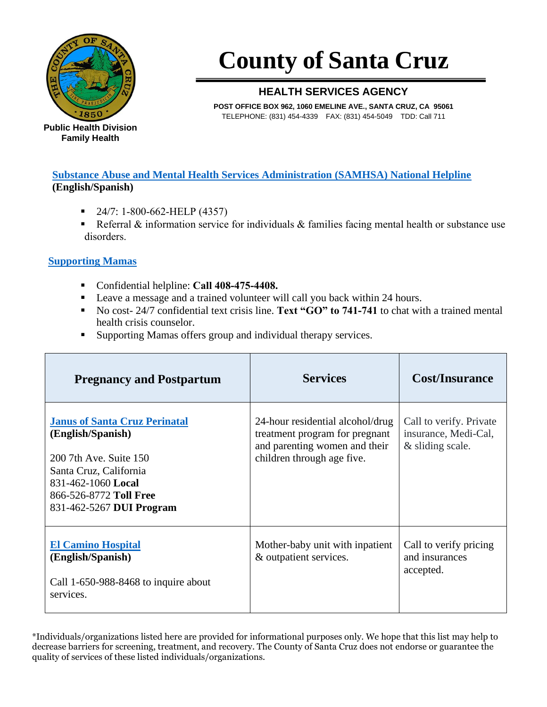

## **County of Santa Cruz**

## **HEALTH SERVICES AGENCY**

**POST OFFICE BOX 962, 1060 EMELINE AVE., SANTA CRUZ, CA 95061** TELEPHONE: (831) 454-4339 FAX: (831) 454-5049 TDD: Call 711

### **[Substance Abuse and Mental Health Services Administration \(SAMHSA\) National Helpline](https://www.samhsa.gov/find-help/national-helpline) (English/Spanish)**

- $\blacksquare$  24/7: 1-800-662-HELP (4357)
- **EXECUTE:** Referral & information service for individuals & families facing mental health or substance use disorders.

### **[Supporting Mamas](https://supportingmamas.org/)**

- Confidential helpline: **Call 408-475-4408.**
- Leave a message and a trained volunteer will call you back within 24 hours.
- No cost- 24/7 confidential text crisis line. **Text "GO" to 741-741** to chat with a trained mental health crisis counselor.
- Supporting Mamas offers group and individual therapy services.

| <b>Pregnancy and Postpartum</b>                                                                                                                                                           | <b>Services</b>                                                                                                                   | <b>Cost/Insurance</b>                                               |  |
|-------------------------------------------------------------------------------------------------------------------------------------------------------------------------------------------|-----------------------------------------------------------------------------------------------------------------------------------|---------------------------------------------------------------------|--|
| <b>Janus of Santa Cruz Perinatal</b><br>(English/Spanish)<br>200 7th Ave. Suite 150<br>Santa Cruz, California<br>831-462-1060 Local<br>866-526-8772 Toll Free<br>831-462-5267 DUI Program | 24-hour residential alcohol/drug<br>treatment program for pregnant<br>and parenting women and their<br>children through age five. | Call to verify. Private<br>insurance, Medi-Cal,<br>& sliding scale. |  |
| <b>El Camino Hospital</b><br>(English/Spanish)<br>Call 1-650-988-8468 to inquire about<br>services.                                                                                       | Mother-baby unit with inpatient<br>& outpatient services.                                                                         | Call to verify pricing<br>and insurances<br>accepted.               |  |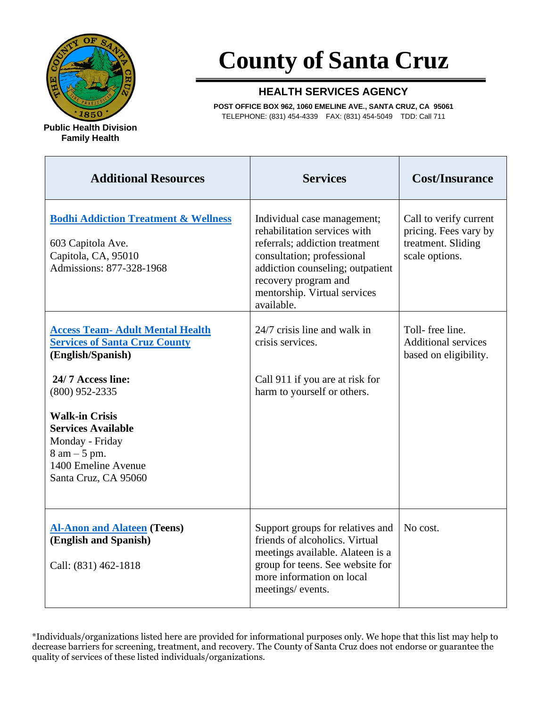

# **County of Santa Cruz**

## **HEALTH SERVICES AGENCY**

**POST OFFICE BOX 962, 1060 EMELINE AVE., SANTA CRUZ, CA 95061** TELEPHONE: (831) 454-4339 FAX: (831) 454-5049 TDD: Call 711

| <b>Additional Resources</b>                                                                                                                            | <b>Services</b>                                                                                                                                                                                                                       | <b>Cost/Insurance</b>                                                                   |  |
|--------------------------------------------------------------------------------------------------------------------------------------------------------|---------------------------------------------------------------------------------------------------------------------------------------------------------------------------------------------------------------------------------------|-----------------------------------------------------------------------------------------|--|
| <b>Bodhi Addiction Treatment &amp; Wellness</b><br>603 Capitola Ave.<br>Capitola, CA, 95010<br>Admissions: 877-328-1968                                | Individual case management;<br>rehabilitation services with<br>referrals; addiction treatment<br>consultation; professional<br>addiction counseling; outpatient<br>recovery program and<br>mentorship. Virtual services<br>available. | Call to verify current<br>pricing. Fees vary by<br>treatment. Sliding<br>scale options. |  |
| <b>Access Team- Adult Mental Health</b><br><b>Services of Santa Cruz County</b><br>(English/Spanish)                                                   | 24/7 crisis line and walk in<br>crisis services.                                                                                                                                                                                      | Toll-free line.<br><b>Additional services</b><br>based on eligibility.                  |  |
| 24/7 Access line:<br>$(800)$ 952-2335                                                                                                                  | Call 911 if you are at risk for<br>harm to yourself or others.                                                                                                                                                                        |                                                                                         |  |
| <b>Walk-in Crisis</b><br><b>Services Available</b><br>Monday - Friday<br>$8 \text{ am} - 5 \text{ pm}.$<br>1400 Emeline Avenue<br>Santa Cruz, CA 95060 |                                                                                                                                                                                                                                       |                                                                                         |  |
| <b>Al-Anon and Alateen (Teens)</b><br>(English and Spanish)<br>Call: (831) 462-1818                                                                    | Support groups for relatives and<br>friends of alcoholics. Virtual<br>meetings available. Alateen is a<br>group for teens. See website for<br>more information on local<br>meetings/events.                                           | No cost.                                                                                |  |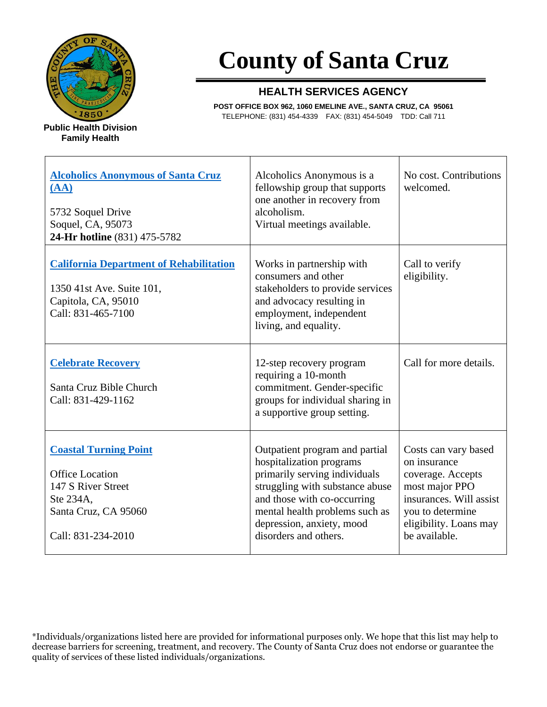

# **County of Santa Cruz**

### **HEALTH SERVICES AGENCY**

**POST OFFICE BOX 962, 1060 EMELINE AVE., SANTA CRUZ, CA 95061** TELEPHONE: (831) 454-4339 FAX: (831) 454-5049 TDD: Call 711

| <b>Alcoholics Anonymous of Santa Cruz</b><br>(AA)<br>5732 Soquel Drive<br>Soquel, CA, 95073<br>24-Hr hotline (831) 475-5782             | Alcoholics Anonymous is a<br>fellowship group that supports<br>one another in recovery from<br>alcoholism.<br>Virtual meetings available.                                                                                                             | No cost. Contributions<br>welcomed.                                                                                                                                   |
|-----------------------------------------------------------------------------------------------------------------------------------------|-------------------------------------------------------------------------------------------------------------------------------------------------------------------------------------------------------------------------------------------------------|-----------------------------------------------------------------------------------------------------------------------------------------------------------------------|
| <b>California Department of Rehabilitation</b><br>1350 41st Ave. Suite 101,<br>Capitola, CA, 95010<br>Call: 831-465-7100                | Works in partnership with<br>consumers and other<br>stakeholders to provide services<br>and advocacy resulting in<br>employment, independent<br>living, and equality.                                                                                 | Call to verify<br>eligibility.                                                                                                                                        |
| <b>Celebrate Recovery</b><br>Santa Cruz Bible Church<br>Call: 831-429-1162                                                              | 12-step recovery program<br>requiring a 10-month<br>commitment. Gender-specific<br>groups for individual sharing in<br>a supportive group setting.                                                                                                    | Call for more details.                                                                                                                                                |
| <b>Coastal Turning Point</b><br><b>Office Location</b><br>147 S River Street<br>Ste 234A,<br>Santa Cruz, CA 95060<br>Call: 831-234-2010 | Outpatient program and partial<br>hospitalization programs<br>primarily serving individuals<br>struggling with substance abuse<br>and those with co-occurring<br>mental health problems such as<br>depression, anxiety, mood<br>disorders and others. | Costs can vary based<br>on insurance<br>coverage. Accepts<br>most major PPO<br>insurances. Will assist<br>you to determine<br>eligibility. Loans may<br>be available. |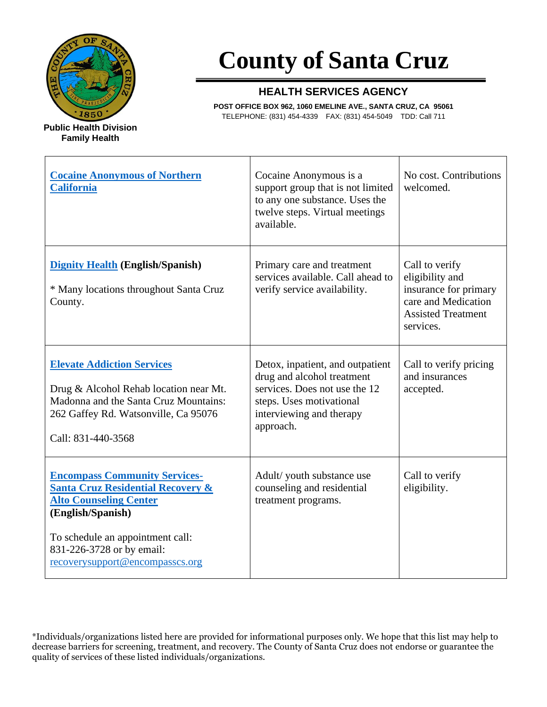

**County of Santa Cruz**

### **HEALTH SERVICES AGENCY**

**POST OFFICE BOX 962, 1060 EMELINE AVE., SANTA CRUZ, CA 95061** TELEPHONE: (831) 454-4339 FAX: (831) 454-5049 TDD: Call 711

| <b>Cocaine Anonymous of Northern</b><br><b>California</b>                                                                                                                                                                                      | Cocaine Anonymous is a<br>support group that is not limited<br>to any one substance. Uses the<br>twelve steps. Virtual meetings<br>available.                        | No cost. Contributions<br>welcomed.                                                                                         |
|------------------------------------------------------------------------------------------------------------------------------------------------------------------------------------------------------------------------------------------------|----------------------------------------------------------------------------------------------------------------------------------------------------------------------|-----------------------------------------------------------------------------------------------------------------------------|
| <b>Dignity Health (English/Spanish)</b><br>* Many locations throughout Santa Cruz<br>County.                                                                                                                                                   | Primary care and treatment<br>services available. Call ahead to<br>verify service availability.                                                                      | Call to verify<br>eligibility and<br>insurance for primary<br>care and Medication<br><b>Assisted Treatment</b><br>services. |
| <b>Elevate Addiction Services</b><br>Drug & Alcohol Rehab location near Mt.<br>Madonna and the Santa Cruz Mountains:<br>262 Gaffey Rd. Watsonville, Ca 95076<br>Call: 831-440-3568                                                             | Detox, inpatient, and outpatient<br>drug and alcohol treatment<br>services. Does not use the 12<br>steps. Uses motivational<br>interviewing and therapy<br>approach. | Call to verify pricing<br>and insurances<br>accepted.                                                                       |
| <b>Encompass Community Services-</b><br><b>Santa Cruz Residential Recovery &amp;</b><br><b>Alto Counseling Center</b><br>(English/Spanish)<br>To schedule an appointment call:<br>831-226-3728 or by email:<br>recoverysupport@encompasscs.org | Adult/ youth substance use<br>counseling and residential<br>treatment programs.                                                                                      | Call to verify<br>eligibility.                                                                                              |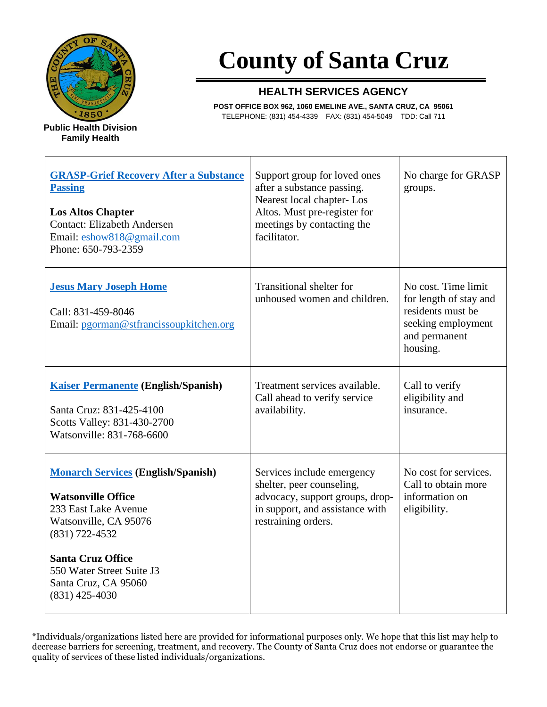

# **County of Santa Cruz**

## **HEALTH SERVICES AGENCY**

**POST OFFICE BOX 962, 1060 EMELINE AVE., SANTA CRUZ, CA 95061** TELEPHONE: (831) 454-4339 FAX: (831) 454-5049 TDD: Call 711

| <b>GRASP-Grief Recovery After a Substance</b><br><b>Passing</b><br><b>Los Altos Chapter</b><br><b>Contact: Elizabeth Andersen</b><br>Email: eshow818@gmail.com<br>Phone: 650-793-2359                                                              | Support group for loved ones<br>after a substance passing.<br>Nearest local chapter-Los<br>Altos. Must pre-register for<br>meetings by contacting the<br>facilitator. | No charge for GRASP<br>groups.                                                                                        |
|----------------------------------------------------------------------------------------------------------------------------------------------------------------------------------------------------------------------------------------------------|-----------------------------------------------------------------------------------------------------------------------------------------------------------------------|-----------------------------------------------------------------------------------------------------------------------|
| <b>Jesus Mary Joseph Home</b><br>Call: 831-459-8046<br>Email: pgorman@stfrancissoupkitchen.org                                                                                                                                                     | <b>Transitional shelter for</b><br>unhoused women and children.                                                                                                       | No cost. Time limit<br>for length of stay and<br>residents must be<br>seeking employment<br>and permanent<br>housing. |
| <b>Kaiser Permanente (English/Spanish)</b><br>Santa Cruz: 831-425-4100<br>Scotts Valley: 831-430-2700<br>Watsonville: 831-768-6600                                                                                                                 | Treatment services available.<br>Call ahead to verify service<br>availability.                                                                                        | Call to verify<br>eligibility and<br>insurance.                                                                       |
| <b>Monarch Services (English/Spanish)</b><br><b>Watsonville Office</b><br>233 East Lake Avenue<br>Watsonville, CA 95076<br>$(831) 722 - 4532$<br><b>Santa Cruz Office</b><br>550 Water Street Suite J3<br>Santa Cruz, CA 95060<br>$(831)$ 425-4030 | Services include emergency<br>shelter, peer counseling,<br>advocacy, support groups, drop-<br>in support, and assistance with<br>restraining orders.                  | No cost for services.<br>Call to obtain more<br>information on<br>eligibility.                                        |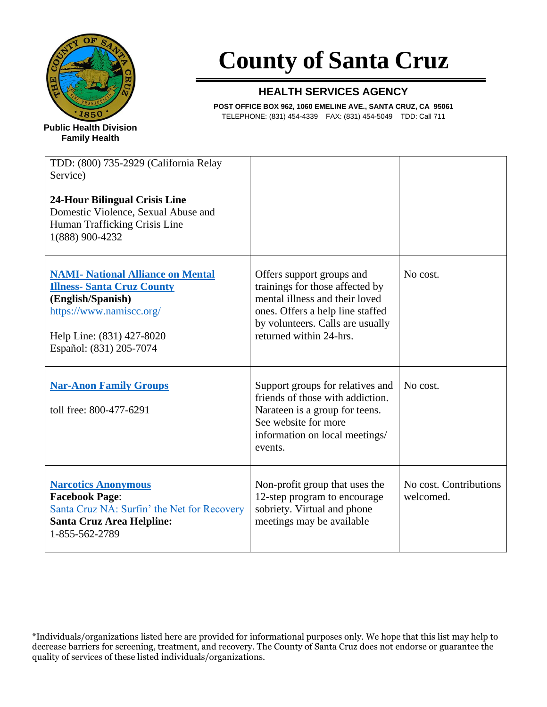

## **County of Santa Cruz**

## **HEALTH SERVICES AGENCY**

**POST OFFICE BOX 962, 1060 EMELINE AVE., SANTA CRUZ, CA 95061** TELEPHONE: (831) 454-4339 FAX: (831) 454-5049 TDD: Call 711

| TDD: (800) 735-2929 (California Relay<br>Service)<br><b>24-Hour Bilingual Crisis Line</b><br>Domestic Violence, Sexual Abuse and<br>Human Trafficking Crisis Line<br>1(888) 900-4232  |                                                                                                                                                                                                   |                                     |
|---------------------------------------------------------------------------------------------------------------------------------------------------------------------------------------|---------------------------------------------------------------------------------------------------------------------------------------------------------------------------------------------------|-------------------------------------|
| <b>NAMI- National Alliance on Mental</b><br><b>Illness-Santa Cruz County</b><br>(English/Spanish)<br>https://www.namiscc.org/<br>Help Line: (831) 427-8020<br>Español: (831) 205-7074 | Offers support groups and<br>trainings for those affected by<br>mental illness and their loved<br>ones. Offers a help line staffed<br>by volunteers. Calls are usually<br>returned within 24-hrs. | No cost.                            |
| <b>Nar-Anon Family Groups</b><br>toll free: 800-477-6291                                                                                                                              | Support groups for relatives and<br>friends of those with addiction.<br>Narateen is a group for teens.<br>See website for more<br>information on local meetings/<br>events.                       | No cost.                            |
| <b>Narcotics Anonymous</b><br><b>Facebook Page:</b><br>Santa Cruz NA: Surfin' the Net for Recovery<br><b>Santa Cruz Area Helpline:</b><br>1-855-562-2789                              | Non-profit group that uses the<br>12-step program to encourage<br>sobriety. Virtual and phone<br>meetings may be available                                                                        | No cost. Contributions<br>welcomed. |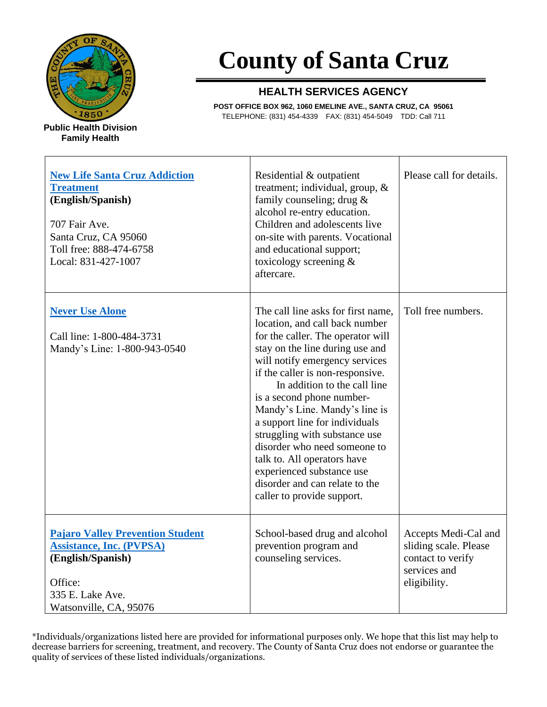

## **County of Santa Cruz**

### **HEALTH SERVICES AGENCY**

**POST OFFICE BOX 962, 1060 EMELINE AVE., SANTA CRUZ, CA 95061** TELEPHONE: (831) 454-4339 FAX: (831) 454-5049 TDD: Call 711

| <b>New Life Santa Cruz Addiction</b><br><b>Treatment</b><br>(English/Spanish)<br>707 Fair Ave.<br>Santa Cruz, CA 95060<br>Toll free: 888-474-6758<br>Local: 831-427-1007 | Residential & outpatient<br>treatment; individual, group, &<br>family counseling; drug $\&$<br>alcohol re-entry education.<br>Children and adolescents live<br>on-site with parents. Vocational<br>and educational support;<br>toxicology screening &<br>aftercare.                                                                                                                                                                                                                                                                             | Please call for details.                                                                           |
|--------------------------------------------------------------------------------------------------------------------------------------------------------------------------|-------------------------------------------------------------------------------------------------------------------------------------------------------------------------------------------------------------------------------------------------------------------------------------------------------------------------------------------------------------------------------------------------------------------------------------------------------------------------------------------------------------------------------------------------|----------------------------------------------------------------------------------------------------|
| <b>Never Use Alone</b><br>Call line: 1-800-484-3731<br>Mandy's Line: 1-800-943-0540                                                                                      | The call line asks for first name,<br>location, and call back number<br>for the caller. The operator will<br>stay on the line during use and<br>will notify emergency services<br>if the caller is non-responsive.<br>In addition to the call line<br>is a second phone number-<br>Mandy's Line. Mandy's line is<br>a support line for individuals<br>struggling with substance use<br>disorder who need someone to<br>talk to. All operators have<br>experienced substance use<br>disorder and can relate to the<br>caller to provide support. | Toll free numbers.                                                                                 |
| <b>Pajaro Valley Prevention Student</b><br><b>Assistance, Inc. (PVPSA)</b><br>(English/Spanish)<br>Office:<br>335 E. Lake Ave.<br>Watsonville, CA, 95076                 | School-based drug and alcohol<br>prevention program and<br>counseling services.                                                                                                                                                                                                                                                                                                                                                                                                                                                                 | Accepts Medi-Cal and<br>sliding scale. Please<br>contact to verify<br>services and<br>eligibility. |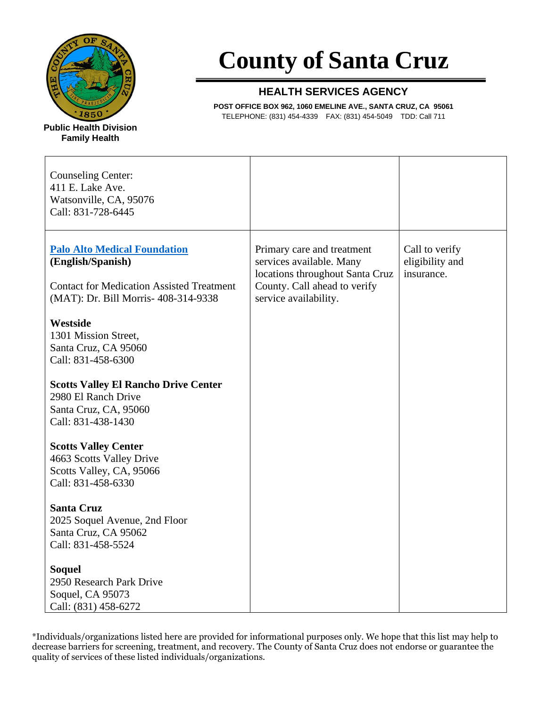

## **County of Santa Cruz**

### **HEALTH SERVICES AGENCY**

**POST OFFICE BOX 962, 1060 EMELINE AVE., SANTA CRUZ, CA 95061** TELEPHONE: (831) 454-4339 FAX: (831) 454-5049 TDD: Call 711

| <b>Counseling Center:</b><br>411 E. Lake Ave.<br>Watsonville, CA, 95076<br>Call: 831-728-6445                                                        |                                                                                                                                                    |                                                 |
|------------------------------------------------------------------------------------------------------------------------------------------------------|----------------------------------------------------------------------------------------------------------------------------------------------------|-------------------------------------------------|
| <b>Palo Alto Medical Foundation</b><br>(English/Spanish)<br><b>Contact for Medication Assisted Treatment</b><br>(MAT): Dr. Bill Morris- 408-314-9338 | Primary care and treatment<br>services available. Many<br>locations throughout Santa Cruz<br>County. Call ahead to verify<br>service availability. | Call to verify<br>eligibility and<br>insurance. |
| Westside<br>1301 Mission Street,<br>Santa Cruz, CA 95060<br>Call: 831-458-6300                                                                       |                                                                                                                                                    |                                                 |
| <b>Scotts Valley El Rancho Drive Center</b><br>2980 El Ranch Drive<br>Santa Cruz, CA, 95060<br>Call: 831-438-1430                                    |                                                                                                                                                    |                                                 |
| <b>Scotts Valley Center</b><br>4663 Scotts Valley Drive<br>Scotts Valley, CA, 95066<br>Call: 831-458-6330                                            |                                                                                                                                                    |                                                 |
| <b>Santa Cruz</b><br>2025 Soquel Avenue, 2nd Floor<br>Santa Cruz, CA 95062<br>Call: 831-458-5524                                                     |                                                                                                                                                    |                                                 |
| <b>Soquel</b><br>2950 Research Park Drive<br>Soquel, CA 95073<br>Call: (831) 458-6272                                                                |                                                                                                                                                    |                                                 |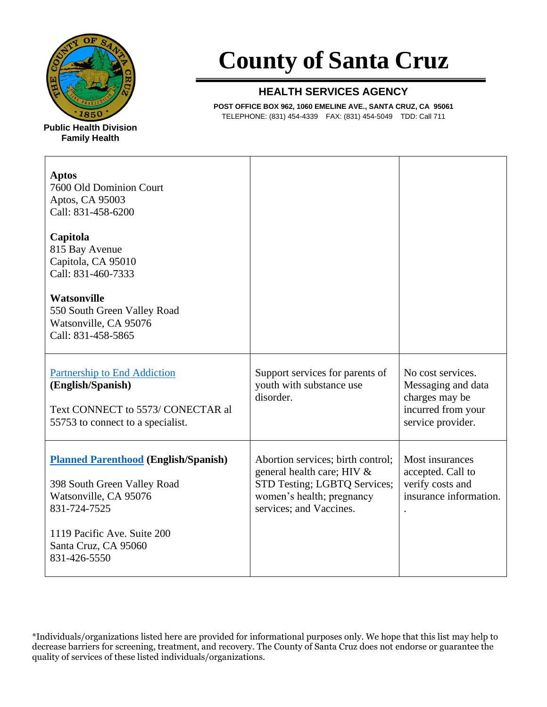

## **County of Santa Cruz**

## **HEALTH SERVICES AGENCY**

**POST OFFICE BOX 962, 1060 EMELINE AVE., SANTA CRUZ, CA 95061** TELEPHONE: (831) 454-4339 FAX: (831) 454-5049 TDD: Call 711

| Support services for parents of<br>youth with substance use<br>disorder.                                                                                | No cost services.<br>Messaging and data<br>charges may be<br>incurred from your<br>service provider. |
|---------------------------------------------------------------------------------------------------------------------------------------------------------|------------------------------------------------------------------------------------------------------|
| Abortion services; birth control;<br>general health care; HIV &<br>STD Testing; LGBTQ Services;<br>women's health; pregnancy<br>services; and Vaccines. | Most insurances<br>accepted. Call to<br>verify costs and<br>insurance information.                   |
|                                                                                                                                                         |                                                                                                      |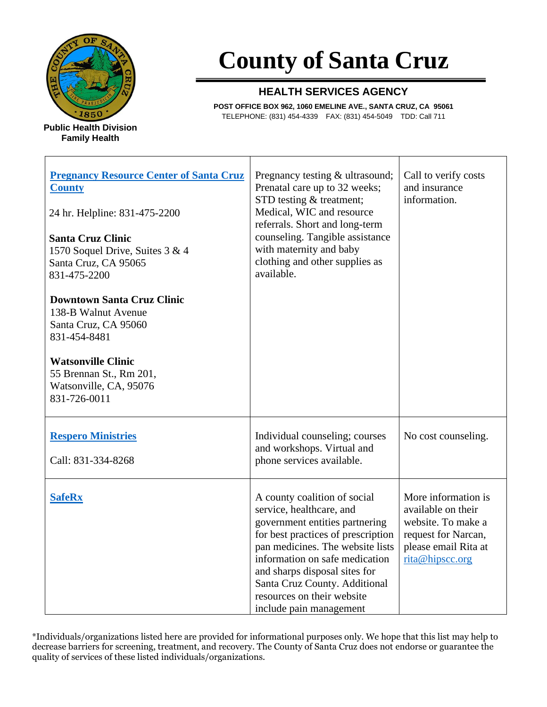

## **County of Santa Cruz**

## **HEALTH SERVICES AGENCY**

**POST OFFICE BOX 962, 1060 EMELINE AVE., SANTA CRUZ, CA 95061** TELEPHONE: (831) 454-4339 FAX: (831) 454-5049 TDD: Call 711

| <b>Pregnancy Resource Center of Santa Cruz</b><br><b>County</b><br>24 hr. Helpline: 831-475-2200<br><b>Santa Cruz Clinic</b><br>1570 Soquel Drive, Suites 3 & 4<br>Santa Cruz, CA 95065<br>831-475-2200<br><b>Downtown Santa Cruz Clinic</b><br>138-B Walnut Avenue<br>Santa Cruz, CA 95060<br>831-454-8481<br><b>Watsonville Clinic</b><br>55 Brennan St., Rm 201,<br>Watsonville, CA, 95076<br>831-726-0011 | Pregnancy testing & ultrasound;<br>Prenatal care up to 32 weeks;<br>STD testing & treatment;<br>Medical, WIC and resource<br>referrals. Short and long-term<br>counseling. Tangible assistance<br>with maternity and baby<br>clothing and other supplies as<br>available.                                                         | Call to verify costs<br>and insurance<br>information.                                                                             |
|---------------------------------------------------------------------------------------------------------------------------------------------------------------------------------------------------------------------------------------------------------------------------------------------------------------------------------------------------------------------------------------------------------------|-----------------------------------------------------------------------------------------------------------------------------------------------------------------------------------------------------------------------------------------------------------------------------------------------------------------------------------|-----------------------------------------------------------------------------------------------------------------------------------|
| <b>Respero Ministries</b><br>Call: 831-334-8268                                                                                                                                                                                                                                                                                                                                                               | Individual counseling; courses<br>and workshops. Virtual and<br>phone services available.                                                                                                                                                                                                                                         | No cost counseling.                                                                                                               |
| <b>SafeRx</b>                                                                                                                                                                                                                                                                                                                                                                                                 | A county coalition of social<br>service, healthcare, and<br>government entities partnering<br>for best practices of prescription<br>pan medicines. The website lists<br>information on safe medication<br>and sharps disposal sites for<br>Santa Cruz County. Additional<br>resources on their website<br>include pain management | More information is<br>available on their<br>website. To make a<br>request for Narcan,<br>please email Rita at<br>rita@hipscc.org |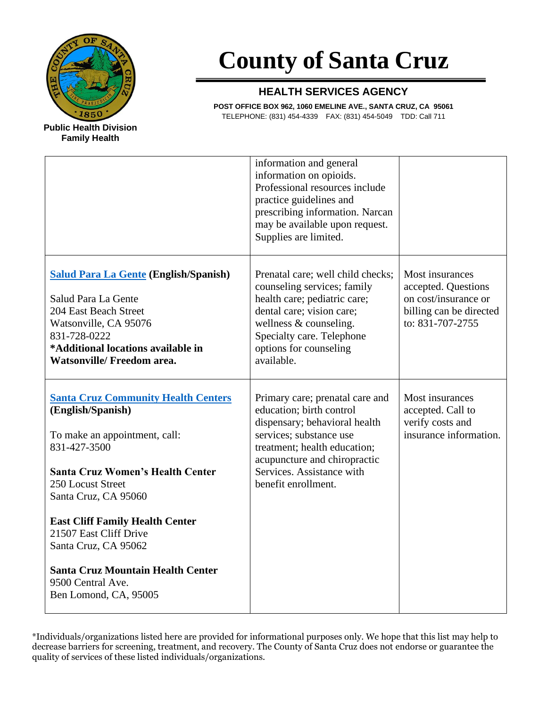

# **County of Santa Cruz**

### **HEALTH SERVICES AGENCY**

**POST OFFICE BOX 962, 1060 EMELINE AVE., SANTA CRUZ, CA 95061** TELEPHONE: (831) 454-4339 FAX: (831) 454-5049 TDD: Call 711

|                      | <b>Public Health Division</b> |  |
|----------------------|-------------------------------|--|
| <b>Family Health</b> |                               |  |

|                                                                                                                                                                                                                                                                                                      | information and general<br>information on opioids.<br>Professional resources include<br>practice guidelines and<br>prescribing information. Narcan<br>may be available upon request.<br>Supplies are limited.                               |                                                                                                               |
|------------------------------------------------------------------------------------------------------------------------------------------------------------------------------------------------------------------------------------------------------------------------------------------------------|---------------------------------------------------------------------------------------------------------------------------------------------------------------------------------------------------------------------------------------------|---------------------------------------------------------------------------------------------------------------|
| <b>Salud Para La Gente (English/Spanish)</b><br>Salud Para La Gente<br>204 East Beach Street<br>Watsonville, CA 95076<br>831-728-0222<br>*Additional locations available in<br><b>Watsonville/Freedom area.</b>                                                                                      | Prenatal care; well child checks;<br>counseling services; family<br>health care; pediatric care;<br>dental care; vision care;<br>wellness & counseling.<br>Specialty care. Telephone<br>options for counseling<br>available.                | Most insurances<br>accepted. Questions<br>on cost/insurance or<br>billing can be directed<br>to: 831-707-2755 |
| <b>Santa Cruz Community Health Centers</b><br>(English/Spanish)<br>To make an appointment, call:<br>831-427-3500<br><b>Santa Cruz Women's Health Center</b><br>250 Locust Street<br>Santa Cruz, CA 95060<br><b>East Cliff Family Health Center</b><br>21507 East Cliff Drive<br>Santa Cruz, CA 95062 | Primary care; prenatal care and<br>education; birth control<br>dispensary; behavioral health<br>services; substance use<br>treatment; health education;<br>acupuncture and chiropractic<br>Services. Assistance with<br>benefit enrollment. | Most insurances<br>accepted. Call to<br>verify costs and<br>insurance information.                            |
| <b>Santa Cruz Mountain Health Center</b><br>9500 Central Ave.<br>Ben Lomond, CA, 95005                                                                                                                                                                                                               |                                                                                                                                                                                                                                             |                                                                                                               |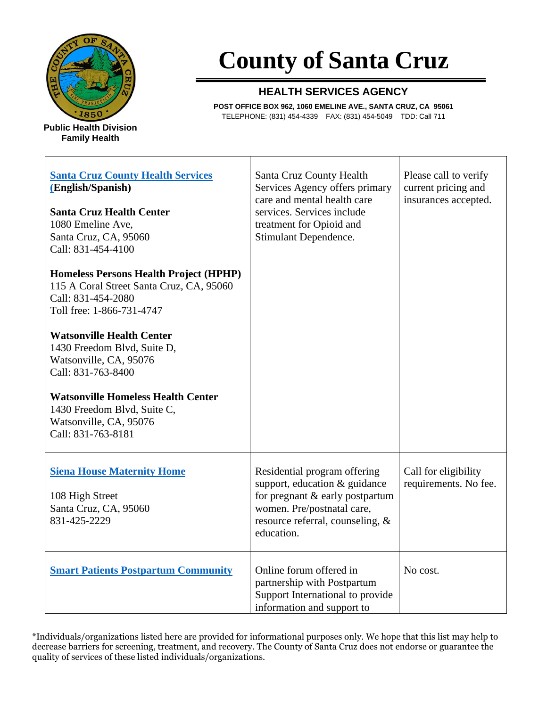

## **County of Santa Cruz**

## **HEALTH SERVICES AGENCY**

**POST OFFICE BOX 962, 1060 EMELINE AVE., SANTA CRUZ, CA 95061** TELEPHONE: (831) 454-4339 FAX: (831) 454-5049 TDD: Call 711

| <b>Santa Cruz County Health Services</b><br>(English/Spanish)<br><b>Santa Cruz Health Center</b><br>1080 Emeline Ave,<br>Santa Cruz, CA, 95060<br>Call: 831-454-4100<br>Homeless Persons Health Project (HPHP)<br>115 A Coral Street Santa Cruz, CA, 95060<br>Call: 831-454-2080<br>Toll free: 1-866-731-4747<br><b>Watsonville Health Center</b><br>1430 Freedom Blvd, Suite D,<br>Watsonville, CA, 95076<br>Call: 831-763-8400<br><b>Watsonville Homeless Health Center</b><br>1430 Freedom Blvd, Suite C,<br>Watsonville, CA, 95076<br>Call: 831-763-8181 | Santa Cruz County Health<br>Services Agency offers primary<br>care and mental health care<br>services. Services include<br>treatment for Opioid and<br>Stimulant Dependence.     | Please call to verify<br>current pricing and<br>insurances accepted. |
|--------------------------------------------------------------------------------------------------------------------------------------------------------------------------------------------------------------------------------------------------------------------------------------------------------------------------------------------------------------------------------------------------------------------------------------------------------------------------------------------------------------------------------------------------------------|----------------------------------------------------------------------------------------------------------------------------------------------------------------------------------|----------------------------------------------------------------------|
| <b>Siena House Maternity Home</b><br>108 High Street<br>Santa Cruz, CA, 95060<br>831-425-2229                                                                                                                                                                                                                                                                                                                                                                                                                                                                | Residential program offering<br>support, education & guidance<br>for pregnant & early postpartum<br>women. Pre/postnatal care,<br>resource referral, counseling, &<br>education. | Call for eligibility<br>requirements. No fee.                        |
| <b>Smart Patients Postpartum Community</b>                                                                                                                                                                                                                                                                                                                                                                                                                                                                                                                   | Online forum offered in<br>partnership with Postpartum<br>Support International to provide<br>information and support to                                                         | No cost.                                                             |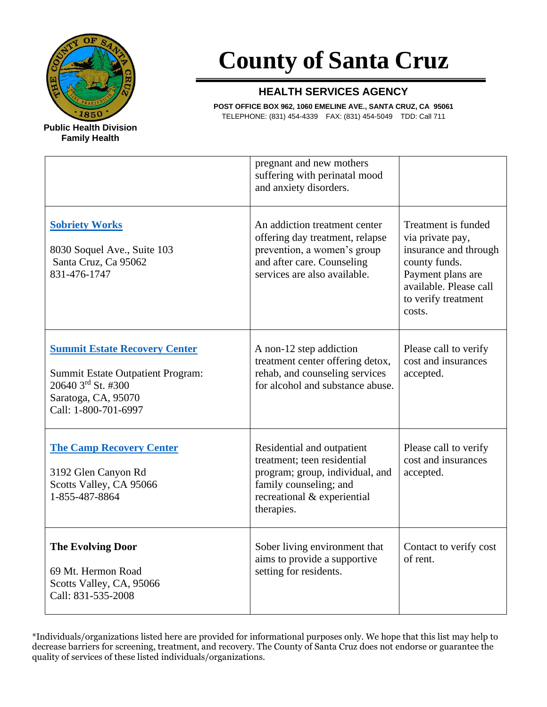

**County of Santa Cruz**

### **HEALTH SERVICES AGENCY**

**POST OFFICE BOX 962, 1060 EMELINE AVE., SANTA CRUZ, CA 95061** TELEPHONE: (831) 454-4339 FAX: (831) 454-5049 TDD: Call 711

|                                                                                                                                                       | pregnant and new mothers<br>suffering with perinatal mood<br>and anxiety disorders.                                                                                 |                                                                                                                                                                   |
|-------------------------------------------------------------------------------------------------------------------------------------------------------|---------------------------------------------------------------------------------------------------------------------------------------------------------------------|-------------------------------------------------------------------------------------------------------------------------------------------------------------------|
| <b>Sobriety Works</b><br>8030 Soquel Ave., Suite 103<br>Santa Cruz, Ca 95062<br>831-476-1747                                                          | An addiction treatment center<br>offering day treatment, relapse<br>prevention, a women's group<br>and after care. Counseling<br>services are also available.       | Treatment is funded<br>via private pay,<br>insurance and through<br>county funds.<br>Payment plans are<br>available. Please call<br>to verify treatment<br>costs. |
| <b>Summit Estate Recovery Center</b><br><b>Summit Estate Outpatient Program:</b><br>20640 3rd St. #300<br>Saratoga, CA, 95070<br>Call: 1-800-701-6997 | A non-12 step addiction<br>treatment center offering detox,<br>rehab, and counseling services<br>for alcohol and substance abuse.                                   | Please call to verify<br>cost and insurances<br>accepted.                                                                                                         |
| <b>The Camp Recovery Center</b><br>3192 Glen Canyon Rd<br>Scotts Valley, CA 95066<br>1-855-487-8864                                                   | Residential and outpatient<br>treatment; teen residential<br>program; group, individual, and<br>family counseling; and<br>recreational & experiential<br>therapies. | Please call to verify<br>cost and insurances<br>accepted.                                                                                                         |
| <b>The Evolving Door</b><br>69 Mt. Hermon Road<br>Scotts Valley, CA, 95066<br>Call: 831-535-2008                                                      | Sober living environment that<br>aims to provide a supportive<br>setting for residents.                                                                             | Contact to verify cost<br>of rent.                                                                                                                                |